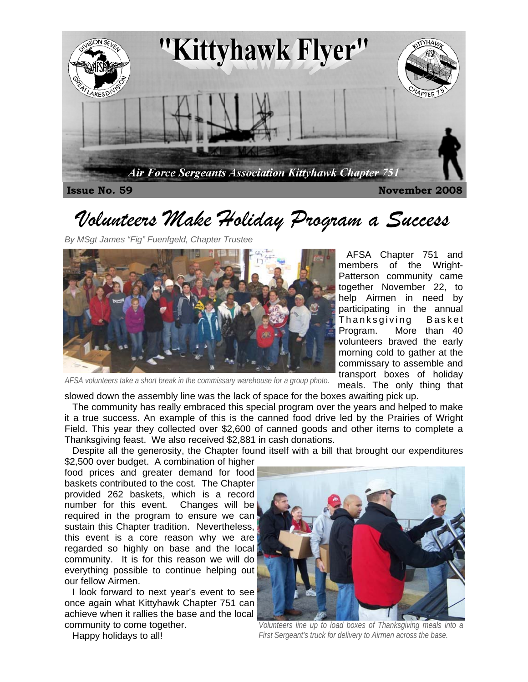

# *Volunteers Make Holiday Program a Success*

*By MSgt James "Fig" Fuenfgeld, Chapter Trustee* 



*AFSA volunteers take a short break in the commissary warehouse for a group photo.* 

 AFSA Chapter 751 and members of the Wright-Patterson community came together November 22, to help Airmen in need by participating in the annual Thanksgiving Basket Program. More than 40 volunteers braved the early morning cold to gather at the commissary to assemble and transport boxes of holiday meals. The only thing that

slowed down the assembly line was the lack of space for the boxes awaiting pick up.

 The community has really embraced this special program over the years and helped to make it a true success. An example of this is the canned food drive led by the Prairies of Wright Field. This year they collected over \$2,600 of canned goods and other items to complete a Thanksgiving feast. We also received \$2,881 in cash donations.

Despite all the generosity, the Chapter found itself with a bill that brought our expenditures

\$2,500 over budget. A combination of higher food prices and greater demand for food baskets contributed to the cost. The Chapter provided 262 baskets, which is a record number for this event. Changes will be required in the program to ensure we can sustain this Chapter tradition. Nevertheless, this event is a core reason why we are regarded so highly on base and the local community. It is for this reason we will do everything possible to continue helping out our fellow Airmen.

 I look forward to next year's event to see once again what Kittyhawk Chapter 751 can achieve when it rallies the base and the local community to come together.



*Volunteers line up to load boxes of Thanksgiving meals into a First Sergeant's truck for delivery to Airmen across the base.* 

Happy holidays to all!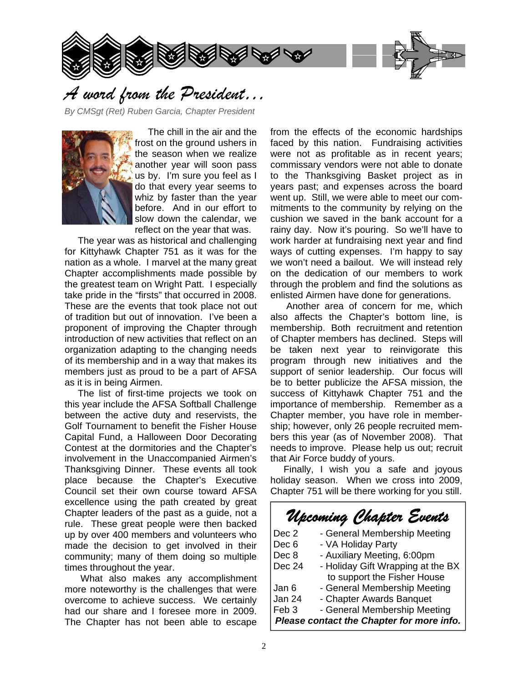



### *A word from the President…*

*By CMSgt (Ret) Ruben Garcia, Chapter President* 



 The chill in the air and the frost on the ground ushers in the season when we realize another year will soon pass us by. I'm sure you feel as I do that every year seems to whiz by faster than the year before. And in our effort to slow down the calendar, we reflect on the year that was.

 The year was as historical and challenging for Kittyhawk Chapter 751 as it was for the nation as a whole. I marvel at the many great Chapter accomplishments made possible by the greatest team on Wright Patt. I especially take pride in the "firsts" that occurred in 2008. These are the events that took place not out of tradition but out of innovation. I've been a proponent of improving the Chapter through introduction of new activities that reflect on an organization adapting to the changing needs of its membership and in a way that makes its members just as proud to be a part of AFSA as it is in being Airmen.

 The list of first-time projects we took on this year include the AFSA Softball Challenge between the active duty and reservists, the Golf Tournament to benefit the Fisher House Capital Fund, a Halloween Door Decorating Contest at the dormitories and the Chapter's involvement in the Unaccompanied Airmen's Thanksgiving Dinner. These events all took place because the Chapter's Executive Council set their own course toward AFSA excellence using the path created by great Chapter leaders of the past as a guide, not a rule. These great people were then backed up by over 400 members and volunteers who made the decision to get involved in their community; many of them doing so multiple times throughout the year.

 What also makes any accomplishment more noteworthy is the challenges that were overcome to achieve success. We certainly had our share and I foresee more in 2009. The Chapter has not been able to escape

from the effects of the economic hardships faced by this nation. Fundraising activities were not as profitable as in recent years; commissary vendors were not able to donate to the Thanksgiving Basket project as in years past; and expenses across the board went up. Still, we were able to meet our commitments to the community by relying on the cushion we saved in the bank account for a rainy day. Now it's pouring. So we'll have to work harder at fundraising next year and find ways of cutting expenses. I'm happy to say we won't need a bailout. We will instead rely on the dedication of our members to work through the problem and find the solutions as enlisted Airmen have done for generations.

 Another area of concern for me, which also affects the Chapter's bottom line, is membership. Both recruitment and retention of Chapter members has declined. Steps will be taken next year to reinvigorate this program through new initiatives and the support of senior leadership. Our focus will be to better publicize the AFSA mission, the success of Kittyhawk Chapter 751 and the importance of membership. Remember as a Chapter member, you have role in membership; however, only 26 people recruited members this year (as of November 2008). That needs to improve. Please help us out; recruit that Air Force buddy of yours.

 Finally, I wish you a safe and joyous holiday season. When we cross into 2009, Chapter 751 will be there working for you still.

*Upcoming Chapter Events* 

| ropommy chapter creme                     |                                   |
|-------------------------------------------|-----------------------------------|
| Dec <sub>2</sub>                          | - General Membership Meeting      |
| Dec <sub>6</sub>                          | - VA Holiday Party                |
| Dec 8                                     | - Auxiliary Meeting, 6:00pm       |
| Dec 24                                    | - Holiday Gift Wrapping at the BX |
|                                           | to support the Fisher House       |
| Jan 6                                     | - General Membership Meeting      |
| Jan 24                                    | - Chapter Awards Banquet          |
| Feb <sub>3</sub>                          | - General Membership Meeting      |
| Please contact the Chapter for more info. |                                   |
|                                           |                                   |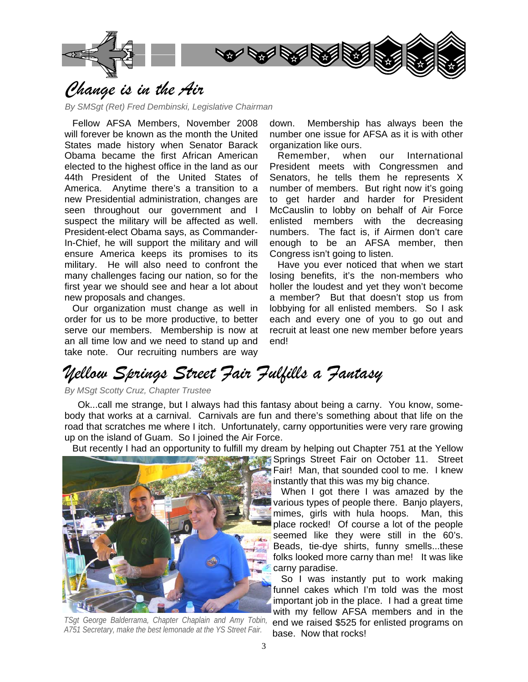

## *Change is in the Air*

*By SMSgt (Ret) Fred Dembinski, Legislative Chairman* 

 Fellow AFSA Members, November 2008 will forever be known as the month the United States made history when Senator Barack Obama became the first African American elected to the highest office in the land as our 44th President of the United States of America. Anytime there's a transition to a new Presidential administration, changes are seen throughout our government and I suspect the military will be affected as well. President-elect Obama says, as Commander-In-Chief, he will support the military and will ensure America keeps its promises to its military. He will also need to confront the many challenges facing our nation, so for the first year we should see and hear a lot about new proposals and changes.

 Our organization must change as well in order for us to be more productive, to better serve our members. Membership is now at an all time low and we need to stand up and take note. Our recruiting numbers are way down. Membership has always been the number one issue for AFSA as it is with other organization like ours.

 Remember, when our International President meets with Congressmen and Senators, he tells them he represents X number of members. But right now it's going to get harder and harder for President McCauslin to lobby on behalf of Air Force enlisted members with the decreasing numbers. The fact is, if Airmen don't care enough to be an AFSA member, then Congress isn't going to listen.

 Have you ever noticed that when we start losing benefits, it's the non-members who holler the loudest and yet they won't become a member? But that doesn't stop us from lobbying for all enlisted members. So I ask each and every one of you to go out and recruit at least one new member before years end!

## *Yellow Springs Street Fair Fulfills a Fantasy*

#### *By MSgt Scotty Cruz, Chapter Trustee*

 Ok...call me strange, but I always had this fantasy about being a carny. You know, somebody that works at a carnival. Carnivals are fun and there's something about that life on the road that scratches me where I itch. Unfortunately, carny opportunities were very rare growing up on the island of Guam. So I joined the Air Force.

But recently I had an opportunity to fulfill my dream by helping out Chapter 751 at the Yellow



*TSgt George Balderrama, Chapter Chaplain and Amy Tobin, A751 Secretary, make the best lemonade at the YS Street Fair.* 

**Springs Street Fair on October 11. Street** Fair! Man, that sounded cool to me. I knew instantly that this was my big chance.

 When I got there I was amazed by the various types of people there. Banjo players, mimes, girls with hula hoops. Man, this place rocked! Of course a lot of the people seemed like they were still in the 60's. Beads, tie-dye shirts, funny smells...these folks looked more carny than me! It was like carny paradise.

 So I was instantly put to work making funnel cakes which I'm told was the most important job in the place. I had a great time with my fellow AFSA members and in the end we raised \$525 for enlisted programs on base. Now that rocks!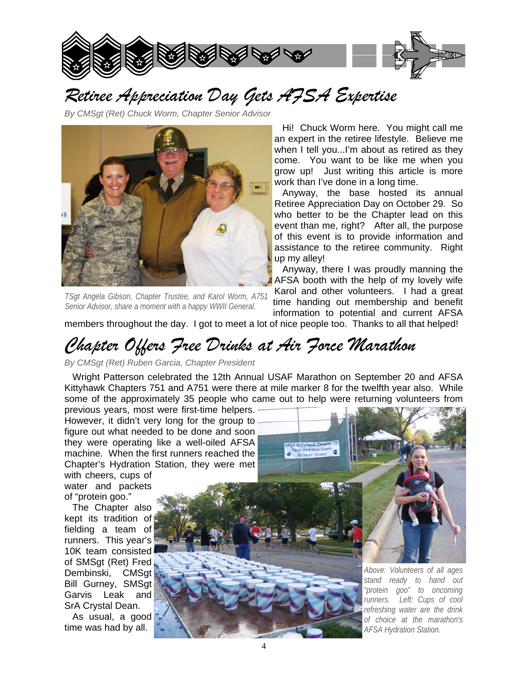

# *Retiree Appreciation Day Gets AFSA Expertise*

*By CMSgt (Ret) Chuck Worm, Chapter Senior Advisor* 



*TSgt Angela Gibson, Chapter Trustee, and Karol Worm, A751 Senior Advisor, share a moment with a happy WWII General.* 

 Hi! Chuck Worm here. You might call me an expert in the retiree lifestyle. Believe me when I tell you...I'm about as retired as they come. You want to be like me when you grow up! Just writing this article is more work than I've done in a long time.

 Anyway, the base hosted its annual Retiree Appreciation Day on October 29. So who better to be the Chapter lead on this event than me, right? After all, the purpose of this event is to provide information and assistance to the retiree community. Right up my alley!

 Anyway, there I was proudly manning the AFSA booth with the help of my lovely wife Karol and other volunteers. I had a great

time handing out membership and benefit information to potential and current AFSA

members throughout the day. I got to meet a lot of nice people too. Thanks to all that helped!

## *Chapter Offers Free Drinks at Air Force Marathon*

*By CMSgt (Ret) Ruben Garcia, Chapter President* 

 Wright Patterson celebrated the 12th Annual USAF Marathon on September 20 and AFSA Kittyhawk Chapters 751 and A751 were there at mile marker 8 for the twelfth year also. While some of the approximately 35 people who came out to help were returning volunteers from

previous years, most were first-time helpers. However, it didn't very long for the group to figure out what needed to be done and soon they were operating like a well-oiled AFSA machine. When the first runners reached the Chapter's Hydration Station, they were met with cheers, cups of

water and packets of "protein goo."

 The Chapter also kept its tradition of fielding a team of runners. This year's 10K team consisted of SMSgt (Ret) Fred Dembinski, CMSgt Bill Gurney, SMSgt Garvis Leak and SrA Crystal Dean.

 As usual, a good time was had by all.



*Above: Volunteers of all ages stand ready to hand out "protein goo" to oncoming runners. Left: Cups of cool refreshing water are the drink of choice at the marathon's AFSA Hydration Station.*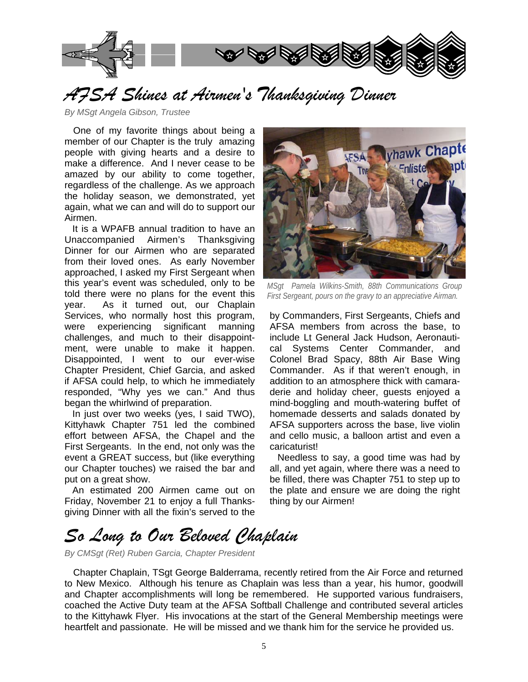

### *AFSA Shines at Airmen's Thanksgiving Dinner*

*By MSgt Angela Gibson, Trustee*

 One of my favorite things about being a member of our Chapter is the truly amazing people with giving hearts and a desire to make a difference. And I never cease to be amazed by our ability to come together, regardless of the challenge. As we approach the holiday season, we demonstrated, yet again, what we can and will do to support our Airmen.

 It is a WPAFB annual tradition to have an Unaccompanied Airmen's Thanksgiving Dinner for our Airmen who are separated from their loved ones. As early November approached, I asked my First Sergeant when this year's event was scheduled, only to be told there were no plans for the event this year. As it turned out, our Chaplain Services, who normally host this program, were experiencing significant manning challenges, and much to their disappointment, were unable to make it happen. Disappointed, I went to our ever-wise Chapter President, Chief Garcia, and asked if AFSA could help, to which he immediately responded, "Why yes we can." And thus began the whirlwind of preparation.

 In just over two weeks (yes, I said TWO), Kittyhawk Chapter 751 led the combined effort between AFSA, the Chapel and the First Sergeants. In the end, not only was the event a GREAT success, but (like everything our Chapter touches) we raised the bar and put on a great show.

 An estimated 200 Airmen came out on Friday, November 21 to enjoy a full Thanksgiving Dinner with all the fixin's served to the



*MSgt Pamela Wilkins-Smith, 88th Communications Group First Sergeant, pours on the gravy to an appreciative Airman.* 

by Commanders, First Sergeants, Chiefs and AFSA members from across the base, to include Lt General Jack Hudson, Aeronautical Systems Center Commander, and Colonel Brad Spacy, 88th Air Base Wing Commander. As if that weren't enough, in addition to an atmosphere thick with camaraderie and holiday cheer, guests enjoyed a mind-boggling and mouth-watering buffet of homemade desserts and salads donated by AFSA supporters across the base, live violin and cello music, a balloon artist and even a caricaturist!

 Needless to say, a good time was had by all, and yet again, where there was a need to be filled, there was Chapter 751 to step up to the plate and ensure we are doing the right thing by our Airmen!

## *So Long to Our Beloved Chaplain*

*By CMSgt (Ret) Ruben Garcia, Chapter President* 

 Chapter Chaplain, TSgt George Balderrama, recently retired from the Air Force and returned to New Mexico. Although his tenure as Chaplain was less than a year, his humor, goodwill and Chapter accomplishments will long be remembered. He supported various fundraisers, coached the Active Duty team at the AFSA Softball Challenge and contributed several articles to the Kittyhawk Flyer. His invocations at the start of the General Membership meetings were heartfelt and passionate. He will be missed and we thank him for the service he provided us.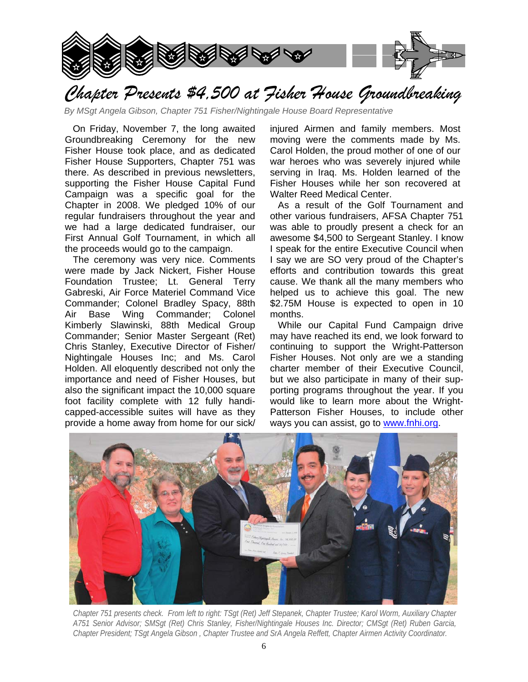

*Chapter Presents \$4,500 at Fisher House Groundbreaking* 

*By MSgt Angela Gibson, Chapter 751 Fisher/Nightingale House Board Representative*

 On Friday, November 7, the long awaited Groundbreaking Ceremony for the new Fisher House took place, and as dedicated Fisher House Supporters, Chapter 751 was there. As described in previous newsletters, supporting the Fisher House Capital Fund Campaign was a specific goal for the Chapter in 2008. We pledged 10% of our regular fundraisers throughout the year and we had a large dedicated fundraiser, our First Annual Golf Tournament, in which all the proceeds would go to the campaign.

 The ceremony was very nice. Comments were made by Jack Nickert, Fisher House Foundation Trustee; Lt. General Terry Gabreski, Air Force Materiel Command Vice Commander; Colonel Bradley Spacy, 88th Air Base Wing Commander; Colonel Kimberly Slawinski, 88th Medical Group Commander; Senior Master Sergeant (Ret) Chris Stanley, Executive Director of Fisher/ Nightingale Houses Inc; and Ms. Carol Holden. All eloquently described not only the importance and need of Fisher Houses, but also the significant impact the 10,000 square foot facility complete with 12 fully handicapped-accessible suites will have as they provide a home away from home for our sick/

injured Airmen and family members. Most moving were the comments made by Ms. Carol Holden, the proud mother of one of our war heroes who was severely injured while serving in Iraq. Ms. Holden learned of the Fisher Houses while her son recovered at Walter Reed Medical Center.

 As a result of the Golf Tournament and other various fundraisers, AFSA Chapter 751 was able to proudly present a check for an awesome \$4,500 to Sergeant Stanley. I know I speak for the entire Executive Council when I say we are SO very proud of the Chapter's efforts and contribution towards this great cause. We thank all the many members who helped us to achieve this goal. The new \$2.75M House is expected to open in 10 months.

 While our Capital Fund Campaign drive may have reached its end, we look forward to continuing to support the Wright-Patterson Fisher Houses. Not only are we a standing charter member of their Executive Council, but we also participate in many of their supporting programs throughout the year. If you would like to learn more about the Wright-Patterson Fisher Houses, to include other ways you can assist, go to www.fnhi.org.



*Chapter 751 presents check. From left to right: TSgt (Ret) Jeff Stepanek, Chapter Trustee; Karol Worm, Auxiliary Chapter A751 Senior Advisor; SMSgt (Ret) Chris Stanley, Fisher/Nightingale Houses Inc. Director; CMSgt (Ret) Ruben Garcia, Chapter President; TSgt Angela Gibson , Chapter Trustee and SrA Angela Reffett, Chapter Airmen Activity Coordinator.*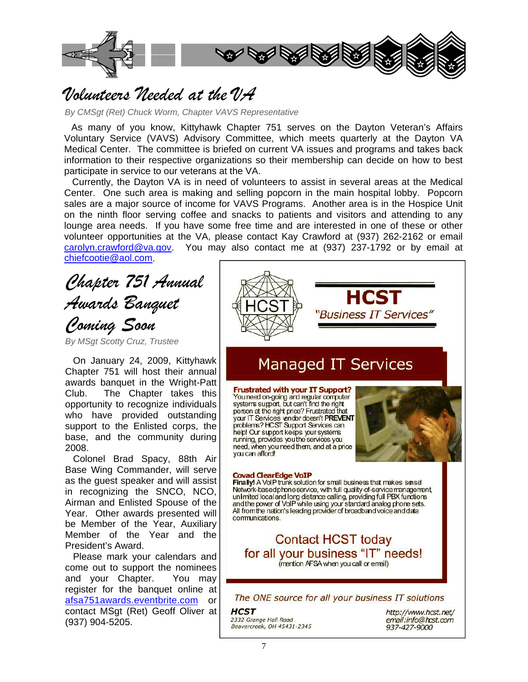

### *Volunteers Needed at the VA*

*By CMSgt (Ret) Chuck Worm, Chapter VAVS Representative*

 As many of you know, Kittyhawk Chapter 751 serves on the Dayton Veteran's Affairs Voluntary Service (VAVS) Advisory Committee, which meets quarterly at the Dayton VA Medical Center. The committee is briefed on current VA issues and programs and takes back information to their respective organizations so their membership can decide on how to best participate in service to our veterans at the VA.

 Currently, the Dayton VA is in need of volunteers to assist in several areas at the Medical Center. One such area is making and selling popcorn in the main hospital lobby. Popcorn sales are a major source of income for VAVS Programs. Another area is in the Hospice Unit on the ninth floor serving coffee and snacks to patients and visitors and attending to any lounge area needs. If you have some free time and are interested in one of these or other volunteer opportunities at the VA, please contact Kay Crawford at (937) 262-2162 or email carolyn.crawford@va.gov. You may also contact me at (937) 237-1792 or by email at chiefcootie@aol.com.

*Chapter 751 Annual Awards Banquet Coming Soon* 

*By MSgt Scotty Cruz, Trustee* 

 On January 24, 2009, Kittyhawk Chapter 751 will host their annual awards banquet in the Wright-Patt Club. The Chapter takes this opportunity to recognize individuals who have provided outstanding support to the Enlisted corps, the base, and the community during 2008.

 Colonel Brad Spacy, 88th Air Base Wing Commander, will serve as the guest speaker and will assist in recognizing the SNCO, NCO, Airman and Enlisted Spouse of the Year. Other awards presented will be Member of the Year, Auxiliary Member of the Year and the President's Award.

 Please mark your calendars and come out to support the nominees and your Chapter. You may register for the banquet online at afsa751awards.eventbrite.com or contact MSgt (Ret) Geoff Oliver at (937) 904-5205.



937-427-9000